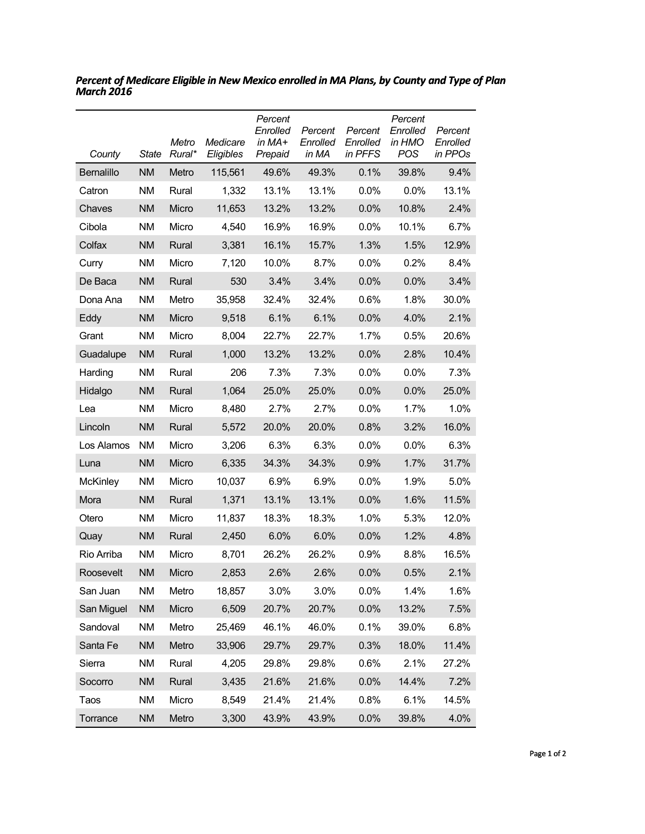| County            | State     | Metro<br>Rural* | Medicare<br>Eligibles | Percent<br>Enrolled<br>in MA+<br>Prepaid | Percent<br>Enrolled<br>in MA | Percent<br>Enrolled<br>in PFFS | Percent<br>Enrolled<br>in HMO<br><b>POS</b> | Percent<br>Enrolled<br>in PPOs |
|-------------------|-----------|-----------------|-----------------------|------------------------------------------|------------------------------|--------------------------------|---------------------------------------------|--------------------------------|
| <b>Bernalillo</b> | <b>NM</b> | Metro           | 115,561               | 49.6%                                    | 49.3%                        | 0.1%                           | 39.8%                                       | 9.4%                           |
| Catron            | <b>NM</b> | Rural           | 1,332                 | 13.1%                                    | 13.1%                        | 0.0%                           | 0.0%                                        | 13.1%                          |
| Chaves            | <b>NM</b> | Micro           | 11,653                | 13.2%                                    | 13.2%                        | 0.0%                           | 10.8%                                       | 2.4%                           |
| Cibola            | <b>NM</b> | Micro           | 4,540                 | 16.9%                                    | 16.9%                        | 0.0%                           | 10.1%                                       | 6.7%                           |
| Colfax            | <b>NM</b> | Rural           | 3,381                 | 16.1%                                    | 15.7%                        | 1.3%                           | 1.5%                                        | 12.9%                          |
| Curry             | <b>NM</b> | Micro           | 7,120                 | 10.0%                                    | 8.7%                         | 0.0%                           | 0.2%                                        | 8.4%                           |
| De Baca           | <b>NM</b> | Rural           | 530                   | 3.4%                                     | 3.4%                         | 0.0%                           | 0.0%                                        | 3.4%                           |
| Dona Ana          | <b>NM</b> | Metro           | 35,958                | 32.4%                                    | 32.4%                        | 0.6%                           | 1.8%                                        | 30.0%                          |
| Eddy              | <b>NM</b> | Micro           | 9,518                 | 6.1%                                     | 6.1%                         | 0.0%                           | 4.0%                                        | 2.1%                           |
| Grant             | <b>NM</b> | Micro           | 8,004                 | 22.7%                                    | 22.7%                        | 1.7%                           | 0.5%                                        | 20.6%                          |
| Guadalupe         | <b>NM</b> | Rural           | 1,000                 | 13.2%                                    | 13.2%                        | 0.0%                           | 2.8%                                        | 10.4%                          |
| Harding           | <b>NM</b> | Rural           | 206                   | 7.3%                                     | 7.3%                         | 0.0%                           | 0.0%                                        | 7.3%                           |
| Hidalgo           | <b>NM</b> | Rural           | 1,064                 | 25.0%                                    | 25.0%                        | 0.0%                           | 0.0%                                        | 25.0%                          |
| Lea               | <b>NM</b> | Micro           | 8,480                 | 2.7%                                     | 2.7%                         | 0.0%                           | 1.7%                                        | 1.0%                           |
| Lincoln           | <b>NM</b> | Rural           | 5,572                 | 20.0%                                    | 20.0%                        | 0.8%                           | 3.2%                                        | 16.0%                          |
| Los Alamos        | <b>NM</b> | Micro           | 3,206                 | 6.3%                                     | 6.3%                         | 0.0%                           | 0.0%                                        | 6.3%                           |
| Luna              | <b>NM</b> | Micro           | 6,335                 | 34.3%                                    | 34.3%                        | 0.9%                           | 1.7%                                        | 31.7%                          |
| <b>McKinley</b>   | <b>NM</b> | Micro           | 10,037                | 6.9%                                     | 6.9%                         | 0.0%                           | 1.9%                                        | 5.0%                           |
| Mora              | <b>NM</b> | Rural           | 1,371                 | 13.1%                                    | 13.1%                        | 0.0%                           | 1.6%                                        | 11.5%                          |
| Otero             | <b>NM</b> | Micro           | 11,837                | 18.3%                                    | 18.3%                        | 1.0%                           | 5.3%                                        | 12.0%                          |
| Quay              | <b>NM</b> | Rural           | 2,450                 | 6.0%                                     | 6.0%                         | 0.0%                           | 1.2%                                        | 4.8%                           |
| Rio Arriba        | <b>NM</b> | Micro           | 8,701                 | 26.2%                                    | 26.2%                        | 0.9%                           | 8.8%                                        | 16.5%                          |
| Roosevelt         | <b>NM</b> | Micro           | 2,853                 | 2.6%                                     | 2.6%                         | 0.0%                           | 0.5%                                        | 2.1%                           |
| San Juan          | <b>NM</b> | Metro           | 18,857                | 3.0%                                     | 3.0%                         | 0.0%                           | 1.4%                                        | 1.6%                           |
| San Miguel        | <b>NM</b> | Micro           | 6,509                 | 20.7%                                    | 20.7%                        | 0.0%                           | 13.2%                                       | 7.5%                           |
| Sandoval          | <b>NM</b> | Metro           | 25,469                | 46.1%                                    | 46.0%                        | 0.1%                           | 39.0%                                       | 6.8%                           |
| Santa Fe          | <b>NM</b> | Metro           | 33,906                | 29.7%                                    | 29.7%                        | 0.3%                           | 18.0%                                       | 11.4%                          |
| Sierra            | <b>NM</b> | Rural           | 4,205                 | 29.8%                                    | 29.8%                        | 0.6%                           | 2.1%                                        | 27.2%                          |
| Socorro           | <b>NM</b> | Rural           | 3,435                 | 21.6%                                    | 21.6%                        | 0.0%                           | 14.4%                                       | 7.2%                           |
| Taos              | <b>NM</b> | Micro           | 8,549                 | 21.4%                                    | 21.4%                        | 0.8%                           | 6.1%                                        | 14.5%                          |
| Torrance          | <b>NM</b> | Metro           | 3,300                 | 43.9%                                    | 43.9%                        | 0.0%                           | 39.8%                                       | 4.0%                           |

*Percent of Medicare Eligible in New Mexico enrolled in MA Plans, by County and Type of Plan March 2016*